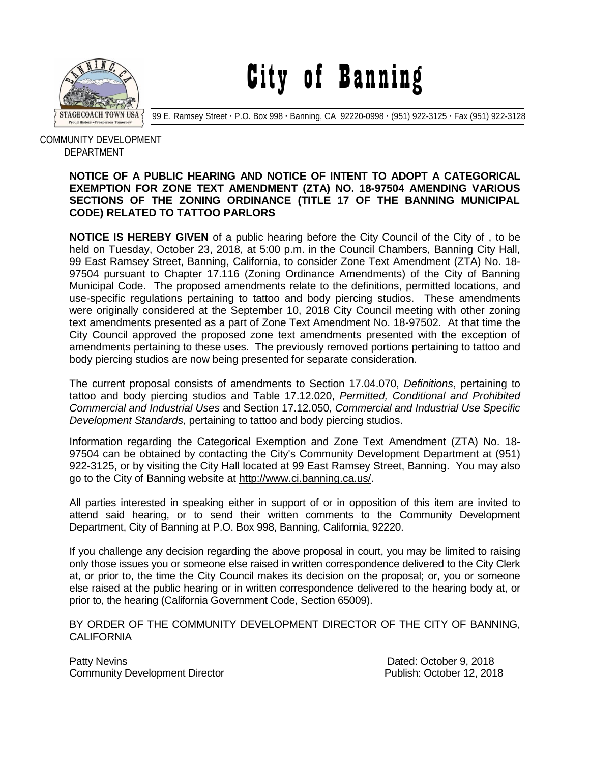

City of Banning

99 E. Ramsey Street **·** P.O. Box 998 **·** Banning, CA 92220-0998 **·** (951) 922-3125 **·** Fax (951) 922-3128

## COMMUNITY DEVELOPMENT DEPARTMENT

## **NOTICE OF A PUBLIC HEARING AND NOTICE OF INTENT TO ADOPT A CATEGORICAL EXEMPTION FOR ZONE TEXT AMENDMENT (ZTA) NO. 18-97504 AMENDING VARIOUS SECTIONS OF THE ZONING ORDINANCE (TITLE 17 OF THE BANNING MUNICIPAL CODE) RELATED TO TATTOO PARLORS**

**NOTICE IS HEREBY GIVEN** of a public hearing before the City Council of the City of , to be held on Tuesday, October 23, 2018, at 5:00 p.m. in the Council Chambers, Banning City Hall, 99 East Ramsey Street, Banning, California, to consider Zone Text Amendment (ZTA) No. 18- 97504 pursuant to Chapter 17.116 (Zoning Ordinance Amendments) of the City of Banning Municipal Code. The proposed amendments relate to the definitions, permitted locations, and use-specific regulations pertaining to tattoo and body piercing studios. These amendments were originally considered at the September 10, 2018 City Council meeting with other zoning text amendments presented as a part of Zone Text Amendment No. 18-97502. At that time the City Council approved the proposed zone text amendments presented with the exception of amendments pertaining to these uses. The previously removed portions pertaining to tattoo and body piercing studios are now being presented for separate consideration.

The current proposal consists of amendments to Section 17.04.070, *Definitions*, pertaining to tattoo and body piercing studios and Table 17.12.020, *Permitted, Conditional and Prohibited Commercial and Industrial Uses* and Section 17.12.050, *Commercial and Industrial Use Specific Development Standards*, pertaining to tattoo and body piercing studios.

Information regarding the Categorical Exemption and Zone Text Amendment (ZTA) No. 18- 97504 can be obtained by contacting the City's Community Development Department at (951) 922-3125, or by visiting the City Hall located at 99 East Ramsey Street, Banning. You may also go to the City of Banning website at [http://www.ci.banning.ca.us/.](http://www.ci.banning.ca.us/)

All parties interested in speaking either in support of or in opposition of this item are invited to attend said hearing, or to send their written comments to the Community Development Department, City of Banning at P.O. Box 998, Banning, California, 92220.

If you challenge any decision regarding the above proposal in court, you may be limited to raising only those issues you or someone else raised in written correspondence delivered to the City Clerk at, or prior to, the time the City Council makes its decision on the proposal; or, you or someone else raised at the public hearing or in written correspondence delivered to the hearing body at, or prior to, the hearing (California Government Code, Section 65009).

BY ORDER OF THE COMMUNITY DEVELOPMENT DIRECTOR OF THE CITY OF BANNING, **CALIFORNIA** 

Patty Nevins **Patty News** 2018 Community Development Director **Publish: Publish: October 12, 2018**